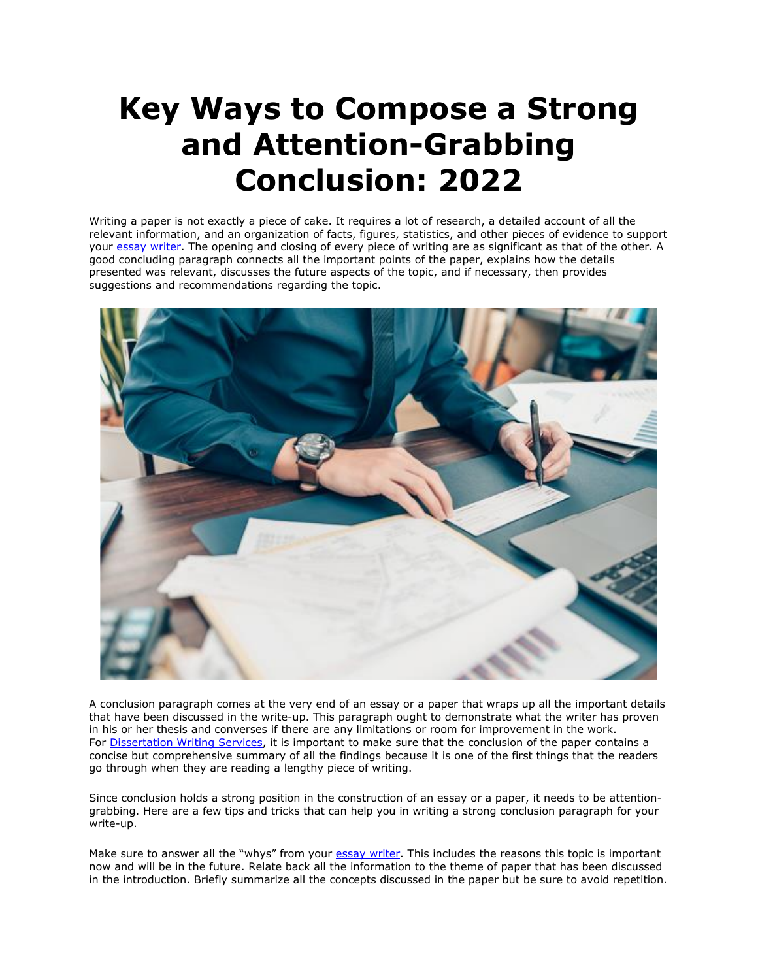## **Key Ways to Compose a Strong and Attention-Grabbing Conclusion: 2022**

Writing a paper is not exactly a piece of cake. It requires a lot of research, a detailed account of all the relevant information, and an organization of facts, figures, statistics, and other pieces of evidence to support your [essay writer.](https://essayhours.com/) The opening and closing of every piece of writing are as significant as that of the other. A good concluding paragraph connects all the important points of the paper, explains how the details presented was relevant, discusses the future aspects of the topic, and if necessary, then provides suggestions and recommendations regarding the topic.



A conclusion paragraph comes at the very end of an essay or a paper that wraps up all the important details that have been discussed in the write-up. This paragraph ought to demonstrate what the writer has proven in his or her thesis and converses if there are any limitations or room for improvement in the work. For [Dissertation Writing Services,](https://gradschoolgenius.com/) it is important to make sure that the conclusion of the paper contains a concise but comprehensive summary of all the findings because it is one of the first things that the readers go through when they are reading a lengthy piece of writing.

Since conclusion holds a strong position in the construction of an essay or a paper, it needs to be attentiongrabbing. Here are a few tips and tricks that can help you in writing a strong conclusion paragraph for your write-up.

Make sure to answer all the "whys" from your [essay writer.](https://www.freeessaywriter.net/) This includes the reasons this topic is important now and will be in the future. Relate back all the information to the theme of paper that has been discussed in the introduction. Briefly summarize all the concepts discussed in the paper but be sure to avoid repetition.